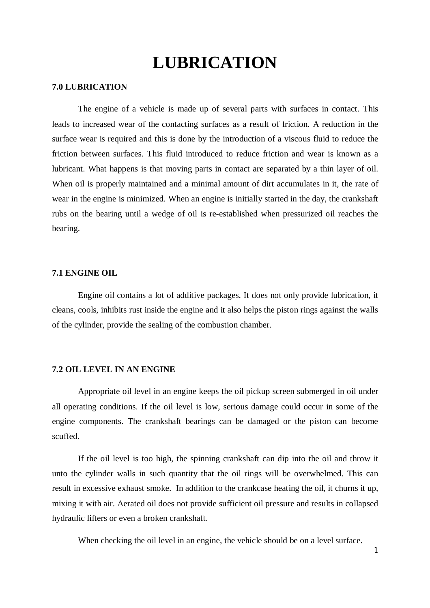# **LUBRICATION**

## **7.0 LUBRICATION**

The engine of a vehicle is made up of several parts with surfaces in contact. This leads to increased wear of the contacting surfaces as a result of friction. A reduction in the surface wear is required and this is done by the introduction of a viscous fluid to reduce the friction between surfaces. This fluid introduced to reduce friction and wear is known as a lubricant. What happens is that moving parts in contact are separated by a thin layer of oil. When oil is properly maintained and a minimal amount of dirt accumulates in it, the rate of wear in the engine is minimized. When an engine is initially started in the day, the crankshaft rubs on the bearing until a wedge of oil is re-established when pressurized oil reaches the bearing.

## **7.1 ENGINE OIL**

Engine oil contains a lot of additive packages. It does not only provide lubrication, it cleans, cools, inhibits rust inside the engine and it also helps the piston rings against the walls of the cylinder, provide the sealing of the combustion chamber.

## **7.2 OIL LEVEL IN AN ENGINE**

Appropriate oil level in an engine keeps the oil pickup screen submerged in oil under all operating conditions. If the oil level is low, serious damage could occur in some of the engine components. The crankshaft bearings can be damaged or the piston can become scuffed.

If the oil level is too high, the spinning crankshaft can dip into the oil and throw it unto the cylinder walls in such quantity that the oil rings will be overwhelmed. This can result in excessive exhaust smoke. In addition to the crankcase heating the oil, it churns it up, mixing it with air. Aerated oil does not provide sufficient oil pressure and results in collapsed hydraulic lifters or even a broken crankshaft.

When checking the oil level in an engine, the vehicle should be on a level surface.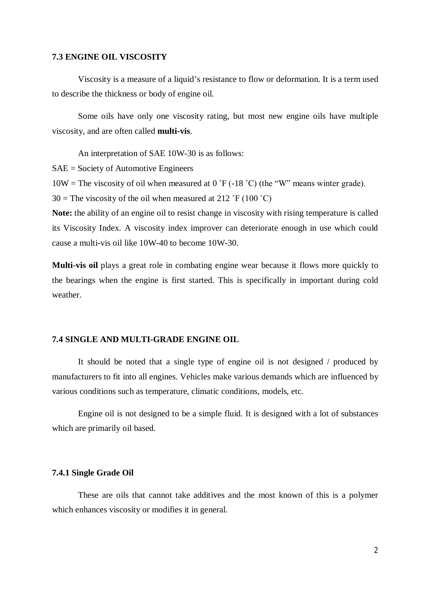### **7.3 ENGINE OIL VISCOSITY**

Viscosity is a measure of a liquid's resistance to flow or deformation. It is a term used to describe the thickness or body of engine oil.

Some oils have only one viscosity rating, but most new engine oils have multiple viscosity, and are often called **multi-vis**.

An interpretation of SAE 10W-30 is as follows: SAE = Society of Automotive Engineers

 $10W =$  The viscosity of oil when measured at 0 °F (-18 °C) (the "W" means winter grade).

 $30 =$ The viscosity of the oil when measured at 212 °F (100 °C)

**Note:** the ability of an engine oil to resist change in viscosity with rising temperature is called its Viscosity Index. A viscosity index improver can deteriorate enough in use which could cause a multi-vis oil like 10W-40 to become 10W-30.

**Multi-vis oil** plays a great role in combating engine wear because it flows more quickly to the bearings when the engine is first started. This is specifically in important during cold weather.

# **7.4 SINGLE AND MULTI-GRADE ENGINE OIL**

It should be noted that a single type of engine oil is not designed / produced by manufacturers to fit into all engines. Vehicles make various demands which are influenced by various conditions such as temperature, climatic conditions, models, etc.

Engine oil is not designed to be a simple fluid. It is designed with a lot of substances which are primarily oil based.

## **7.4.1 Single Grade Oil**

These are oils that cannot take additives and the most known of this is a polymer which enhances viscosity or modifies it in general.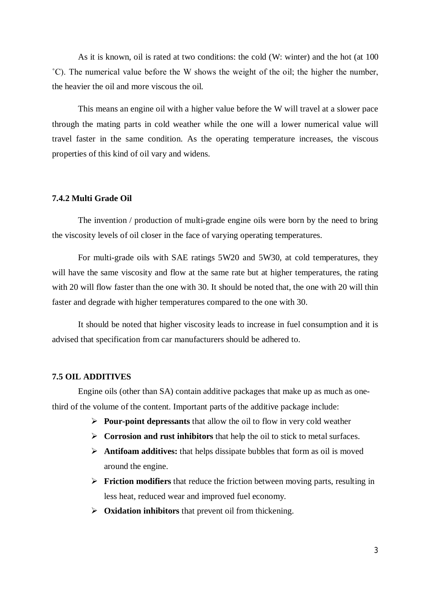As it is known, oil is rated at two conditions: the cold (W: winter) and the hot (at 100 ˚C). The numerical value before the W shows the weight of the oil; the higher the number, the heavier the oil and more viscous the oil.

This means an engine oil with a higher value before the W will travel at a slower pace through the mating parts in cold weather while the one will a lower numerical value will travel faster in the same condition. As the operating temperature increases, the viscous properties of this kind of oil vary and widens.

## **7.4.2 Multi Grade Oil**

The invention / production of multi-grade engine oils were born by the need to bring the viscosity levels of oil closer in the face of varying operating temperatures.

For multi-grade oils with SAE ratings 5W20 and 5W30, at cold temperatures, they will have the same viscosity and flow at the same rate but at higher temperatures, the rating with 20 will flow faster than the one with 30. It should be noted that, the one with 20 will thin faster and degrade with higher temperatures compared to the one with 30.

It should be noted that higher viscosity leads to increase in fuel consumption and it is advised that specification from car manufacturers should be adhered to.

## **7.5 OIL ADDITIVES**

Engine oils (other than SA) contain additive packages that make up as much as onethird of the volume of the content. Important parts of the additive package include:

- **Pour-point depressants** that allow the oil to flow in very cold weather
- **Corrosion and rust inhibitors** that help the oil to stick to metal surfaces.
- **Antifoam additives:** that helps dissipate bubbles that form as oil is moved around the engine.
- **Friction modifiers** that reduce the friction between moving parts, resulting in less heat, reduced wear and improved fuel economy.
- **Oxidation inhibitors** that prevent oil from thickening.